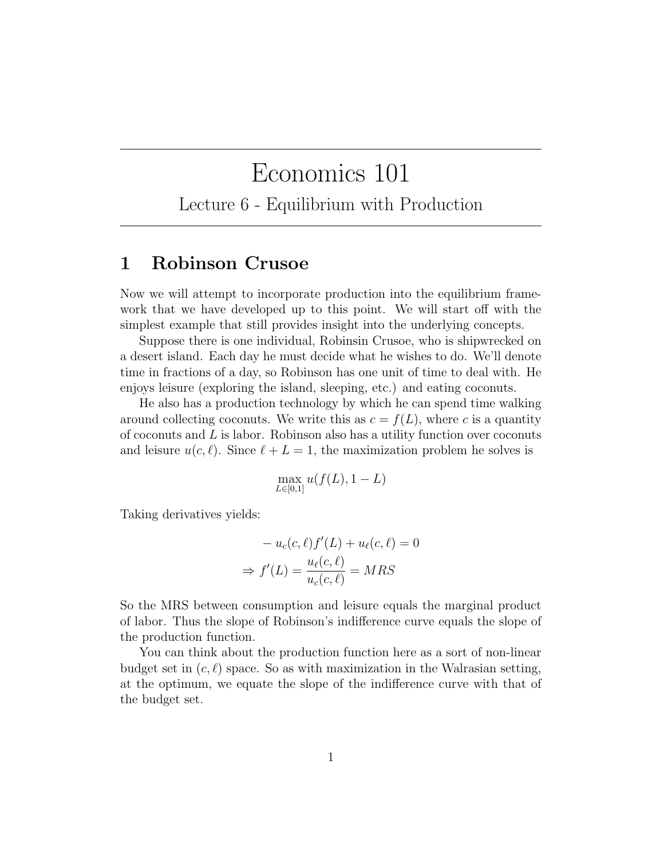## Economics 101

Lecture 6 - Equilibrium with Production

## 1 Robinson Crusoe

Now we will attempt to incorporate production into the equilibrium framework that we have developed up to this point. We will start off with the simplest example that still provides insight into the underlying concepts.

Suppose there is one individual, Robinsin Crusoe, who is shipwrecked on a desert island. Each day he must decide what he wishes to do. We'll denote time in fractions of a day, so Robinson has one unit of time to deal with. He enjoys leisure (exploring the island, sleeping, etc.) and eating coconuts.

He also has a production technology by which he can spend time walking around collecting coconuts. We write this as  $c = f(L)$ , where c is a quantity of coconuts and  $L$  is labor. Robinson also has a utility function over coconuts and leisure  $u(c, \ell)$ . Since  $\ell + L = 1$ , the maximization problem he solves is

$$
\max_{L \in [0,1]} u(f(L), 1 - L)
$$

Taking derivatives yields:

$$
-u_c(c, \ell) f'(L) + u_{\ell}(c, \ell) = 0
$$

$$
\Rightarrow f'(L) = \frac{u_{\ell}(c, \ell)}{u_c(c, \ell)} = MRS
$$

So the MRS between consumption and leisure equals the marginal product of labor. Thus the slope of Robinson's indifference curve equals the slope of the production function.

You can think about the production function here as a sort of non-linear budget set in  $(c, \ell)$  space. So as with maximization in the Walrasian setting, at the optimum, we equate the slope of the indifference curve with that of the budget set.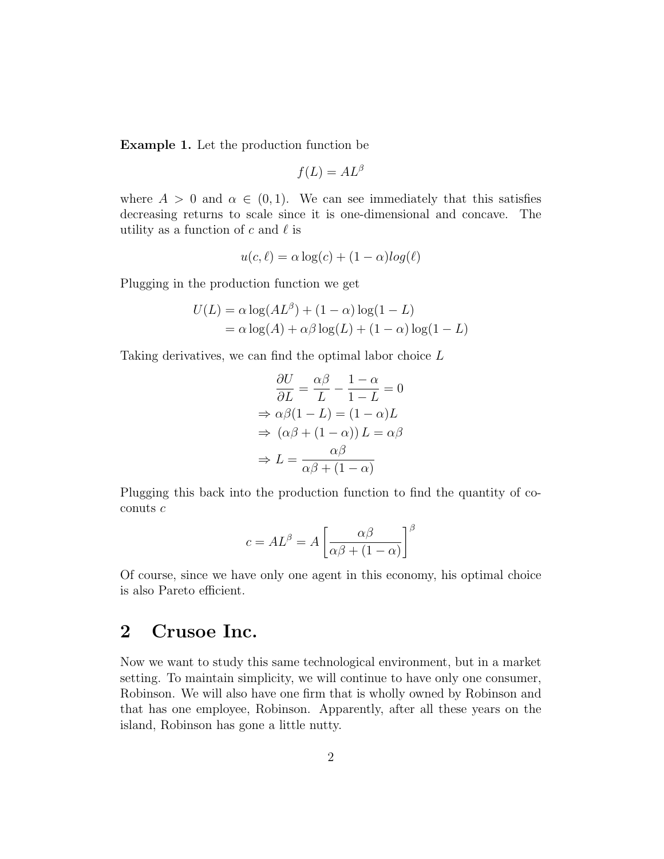Example 1. Let the production function be

$$
f(L) = AL^{\beta}
$$

where  $A > 0$  and  $\alpha \in (0, 1)$ . We can see immediately that this satisfies decreasing returns to scale since it is one-dimensional and concave. The utility as a function of c and  $\ell$  is

$$
u(c, \ell) = \alpha \log(c) + (1 - \alpha) \log(\ell)
$$

Plugging in the production function we get

$$
U(L) = \alpha \log(AL^{\beta}) + (1 - \alpha) \log(1 - L)
$$
  
=  $\alpha \log(A) + \alpha \beta \log(L) + (1 - \alpha) \log(1 - L)$ 

Taking derivatives, we can find the optimal labor choice L

$$
\frac{\partial U}{\partial L} = \frac{\alpha \beta}{L} - \frac{1 - \alpha}{1 - L} = 0
$$

$$
\Rightarrow \alpha \beta (1 - L) = (1 - \alpha)L
$$

$$
\Rightarrow (\alpha \beta + (1 - \alpha)) L = \alpha \beta
$$

$$
\Rightarrow L = \frac{\alpha \beta}{\alpha \beta + (1 - \alpha)}
$$

Plugging this back into the production function to find the quantity of coconuts c

$$
c = AL^{\beta} = A \left[ \frac{\alpha \beta}{\alpha \beta + (1 - \alpha)} \right]^{\beta}
$$

Of course, since we have only one agent in this economy, his optimal choice is also Pareto efficient.

## 2 Crusoe Inc.

Now we want to study this same technological environment, but in a market setting. To maintain simplicity, we will continue to have only one consumer, Robinson. We will also have one firm that is wholly owned by Robinson and that has one employee, Robinson. Apparently, after all these years on the island, Robinson has gone a little nutty.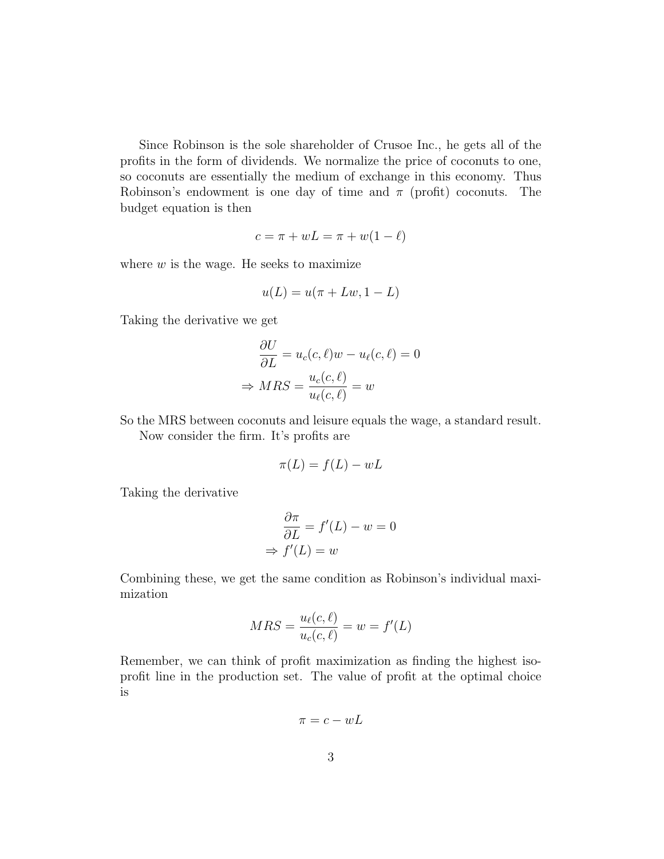Since Robinson is the sole shareholder of Crusoe Inc., he gets all of the profits in the form of dividends. We normalize the price of coconuts to one, so coconuts are essentially the medium of exchange in this economy. Thus Robinson's endowment is one day of time and  $\pi$  (profit) coconuts. The budget equation is then

$$
c = \pi + wL = \pi + w(1 - \ell)
$$

where  $w$  is the wage. He seeks to maximize

$$
u(L) = u(\pi + Lw, 1 - L)
$$

Taking the derivative we get

$$
\frac{\partial U}{\partial L} = u_c(c, \ell)w - u_{\ell}(c, \ell) = 0
$$

$$
\Rightarrow MRS = \frac{u_c(c, \ell)}{u_{\ell}(c, \ell)} = w
$$

So the MRS between coconuts and leisure equals the wage, a standard result.

Now consider the firm. It's profits are

$$
\pi(L) = f(L) - wL
$$

Taking the derivative

$$
\frac{\partial \pi}{\partial L} = f'(L) - w = 0
$$
  
\n
$$
\Rightarrow f'(L) = w
$$

Combining these, we get the same condition as Robinson's individual maximization

$$
MRS = \frac{u_{\ell}(c,\ell)}{u_{c}(c,\ell)} = w = f'(L)
$$

Remember, we can think of profit maximization as finding the highest isoprofit line in the production set. The value of profit at the optimal choice is

$$
\pi = c - wL
$$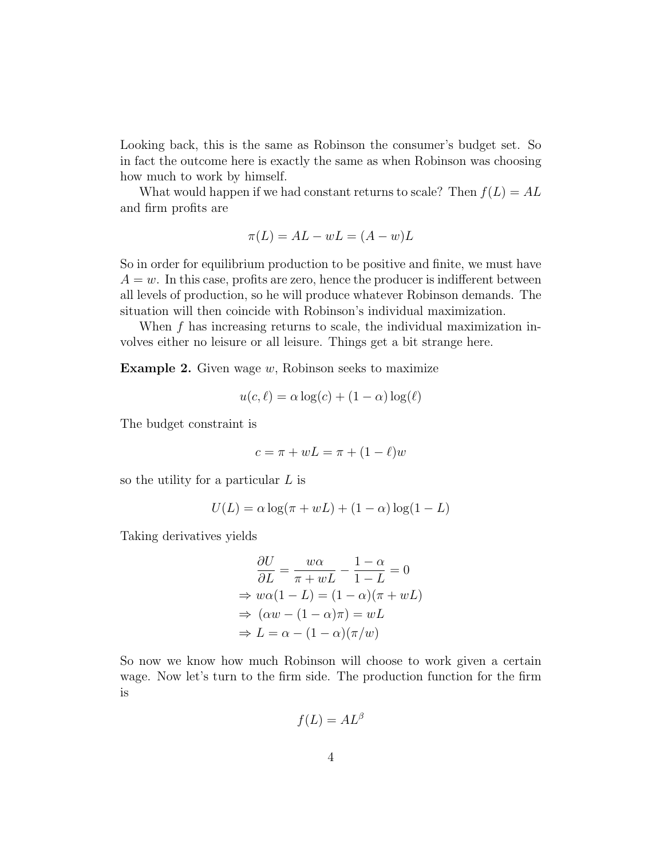Looking back, this is the same as Robinson the consumer's budget set. So in fact the outcome here is exactly the same as when Robinson was choosing how much to work by himself.

What would happen if we had constant returns to scale? Then  $f(L) = AL$ and firm profits are

$$
\pi(L) = AL - wL = (A - w)L
$$

So in order for equilibrium production to be positive and finite, we must have  $A = w$ . In this case, profits are zero, hence the producer is indifferent between all levels of production, so he will produce whatever Robinson demands. The situation will then coincide with Robinson's individual maximization.

When  $f$  has increasing returns to scale, the individual maximization involves either no leisure or all leisure. Things get a bit strange here.

**Example 2.** Given wage  $w$ , Robinson seeks to maximize

$$
u(c, \ell) = \alpha \log(c) + (1 - \alpha) \log(\ell)
$$

The budget constraint is

$$
c = \pi + wL = \pi + (1 - \ell)w
$$

so the utility for a particular L is

$$
U(L) = \alpha \log(\pi + wL) + (1 - \alpha) \log(1 - L)
$$

Taking derivatives yields

$$
\frac{\partial U}{\partial L} = \frac{w\alpha}{\pi + wL} - \frac{1-\alpha}{1-L} = 0
$$
  
\n
$$
\Rightarrow w\alpha(1-L) = (1-\alpha)(\pi + wL)
$$
  
\n
$$
\Rightarrow (\alpha w - (1-\alpha)\pi) = wL
$$
  
\n
$$
\Rightarrow L = \alpha - (1-\alpha)(\pi/w)
$$

So now we know how much Robinson will choose to work given a certain wage. Now let's turn to the firm side. The production function for the firm is

$$
f(L) = AL^{\beta}
$$